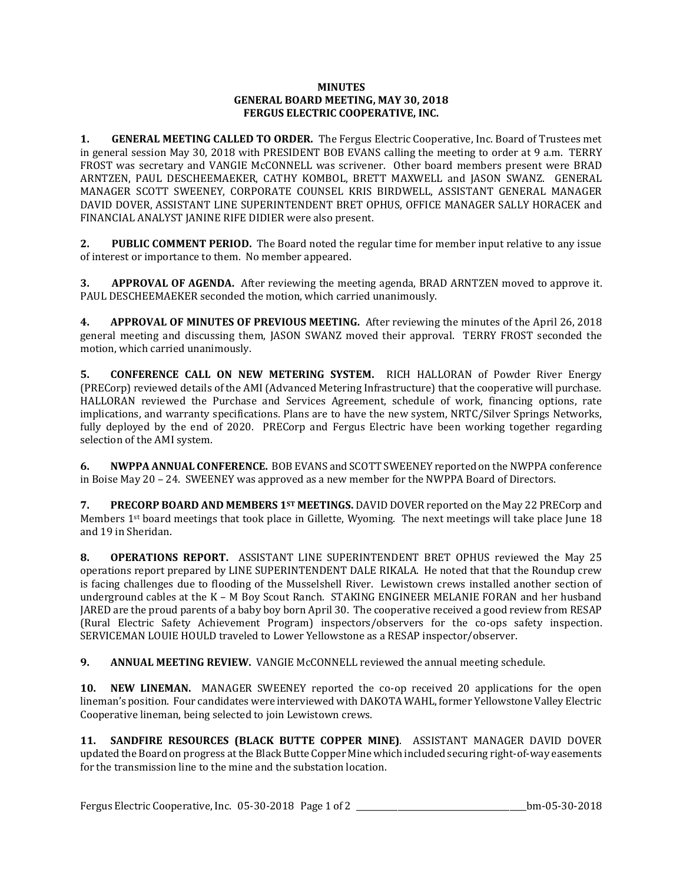## **MINUTES GENERAL BOARD MEETING, MAY 30, 2018 FERGUS ELECTRIC COOPERATIVE, INC.**

**1. GENERAL MEETING CALLED TO ORDER.** The Fergus Electric Cooperative, Inc. Board of Trustees met in general session May 30, 2018 with PRESIDENT BOB EVANS calling the meeting to order at 9 a.m. TERRY FROST was secretary and VANGIE McCONNELL was scrivener. Other board members present were BRAD ARNTZEN, PAUL DESCHEEMAEKER, CATHY KOMBOL, BRETT MAXWELL and JASON SWANZ. GENERAL MANAGER SCOTT SWEENEY, CORPORATE COUNSEL KRIS BIRDWELL, ASSISTANT GENERAL MANAGER DAVID DOVER, ASSISTANT LINE SUPERINTENDENT BRET OPHUS, OFFICE MANAGER SALLY HORACEK and FINANCIAL ANALYST JANINE RIFE DIDIER were also present.

**2. PUBLIC COMMENT PERIOD.** The Board noted the regular time for member input relative to any issue of interest or importance to them. No member appeared.

**3. APPROVAL OF AGENDA.** After reviewing the meeting agenda, BRAD ARNTZEN moved to approve it. PAUL DESCHEEMAEKER seconded the motion, which carried unanimously.

**4. APPROVAL OF MINUTES OF PREVIOUS MEETING.** After reviewing the minutes of the April 26, 2018 general meeting and discussing them, JASON SWANZ moved their approval. TERRY FROST seconded the motion, which carried unanimously.

**5. CONFERENCE CALL ON NEW METERING SYSTEM.** RICH HALLORAN of Powder River Energy (PRECorp) reviewed details of the AMI (Advanced Metering Infrastructure) that the cooperative will purchase. HALLORAN reviewed the Purchase and Services Agreement, schedule of work, financing options, rate implications, and warranty specifications. Plans are to have the new system, NRTC/Silver Springs Networks, fully deployed by the end of 2020. PRECorp and Fergus Electric have been working together regarding selection of the AMI system.

**6. NWPPA ANNUAL CONFERENCE.** BOB EVANS and SCOTT SWEENEY reported on the NWPPA conference in Boise May 20 – 24. SWEENEY was approved as a new member for the NWPPA Board of Directors.

**7. PRECORP BOARD AND MEMBERS 1ST MEETINGS.** DAVID DOVER reported on the May 22 PRECorp and Members  $1<sup>st</sup>$  board meetings that took place in Gillette, Wyoming. The next meetings will take place June 18 and 19 in Sheridan.

**8. OPERATIONS REPORT.** ASSISTANT LINE SUPERINTENDENT BRET OPHUS reviewed the May 25 operations report prepared by LINE SUPERINTENDENT DALE RIKALA. He noted that that the Roundup crew is facing challenges due to flooding of the Musselshell River. Lewistown crews installed another section of underground cables at the K – M Boy Scout Ranch. STAKING ENGINEER MELANIE FORAN and her husband JARED are the proud parents of a baby boy born April 30. The cooperative received a good review from RESAP (Rural Electric Safety Achievement Program) inspectors/observers for the co-ops safety inspection. SERVICEMAN LOUIE HOULD traveled to Lower Yellowstone as a RESAP inspector/observer.

**9. ANNUAL MEETING REVIEW.** VANGIE McCONNELL reviewed the annual meeting schedule.

**10. NEW LINEMAN.** MANAGER SWEENEY reported the co-op received 20 applications for the open lineman's position. Four candidates were interviewed with DAKOTA WAHL, former Yellowstone Valley Electric Cooperative lineman, being selected to join Lewistown crews.

**11. SANDFIRE RESOURCES (BLACK BUTTE COPPER MINE)**. ASSISTANT MANAGER DAVID DOVER updated the Board on progress at the Black Butte Copper Mine which included securing right-of-way easements for the transmission line to the mine and the substation location.